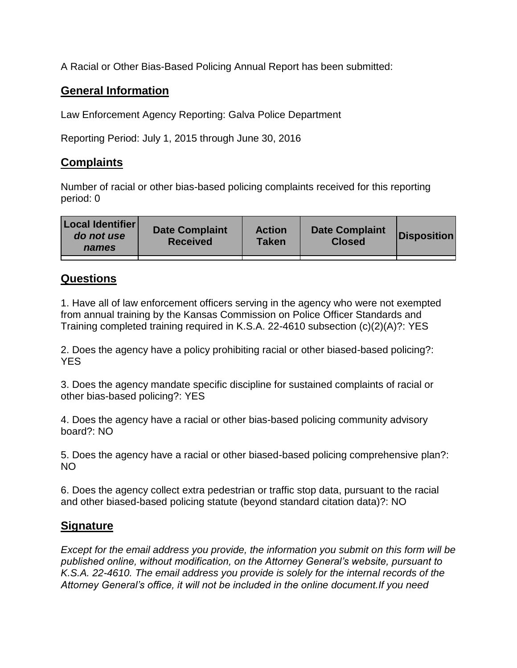A Racial or Other Bias-Based Policing Annual Report has been submitted:

## **General Information**

Law Enforcement Agency Reporting: Galva Police Department

Reporting Period: July 1, 2015 through June 30, 2016

## **Complaints**

Number of racial or other bias-based policing complaints received for this reporting period: 0

## **Questions**

1. Have all of law enforcement officers serving in the agency who were not exempted from annual training by the Kansas Commission on Police Officer Standards and Training completed training required in K.S.A. 22-4610 subsection (c)(2)(A)?: YES

2. Does the agency have a policy prohibiting racial or other biased-based policing?: YES

3. Does the agency mandate specific discipline for sustained complaints of racial or other bias-based policing?: YES

4. Does the agency have a racial or other bias-based policing community advisory board?: NO

5. Does the agency have a racial or other biased-based policing comprehensive plan?: NO

6. Does the agency collect extra pedestrian or traffic stop data, pursuant to the racial and other biased-based policing statute (beyond standard citation data)?: NO

## **Signature**

*Except for the email address you provide, the information you submit on this form will be published online, without modification, on the Attorney General's website, pursuant to K.S.A. 22-4610. The email address you provide is solely for the internal records of the Attorney General's office, it will not be included in the online document.If you need*